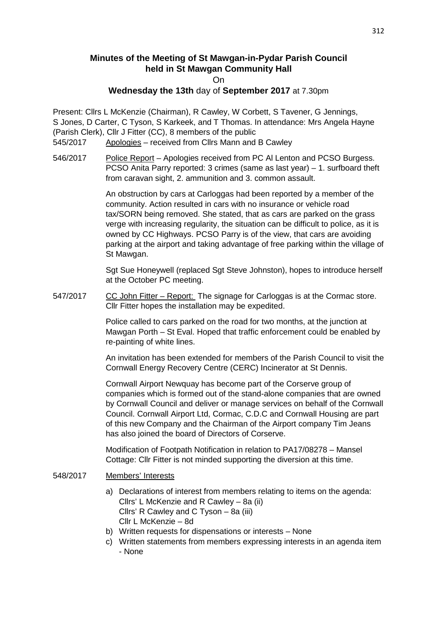# **Minutes of the Meeting of St Mawgan-in-Pydar Parish Council held in St Mawgan Community Hall**

On

## **Wednesday the 13th** day of **September 2017** at 7.30pm

Present: Cllrs L McKenzie (Chairman), R Cawley, W Corbett, S Tavener, G Jennings, S Jones, D Carter, C Tyson, S Karkeek, and T Thomas. In attendance: Mrs Angela Hayne (Parish Clerk), Cllr J Fitter (CC), 8 members of the public

- 545/2017 Apologies received from Cllrs Mann and B Cawley
- 546/2017 Police Report Apologies received from PC Al Lenton and PCSO Burgess. PCSO Anita Parry reported: 3 crimes (same as last year) – 1. surfboard theft from caravan sight, 2. ammunition and 3. common assault.

 An obstruction by cars at Carloggas had been reported by a member of the community. Action resulted in cars with no insurance or vehicle road tax/SORN being removed. She stated, that as cars are parked on the grass verge with increasing regularity, the situation can be difficult to police, as it is owned by CC Highways. PCSO Parry is of the view, that cars are avoiding parking at the airport and taking advantage of free parking within the village of St Mawgan.

 Sgt Sue Honeywell (replaced Sgt Steve Johnston), hopes to introduce herself at the October PC meeting.

547/2017 CC John Fitter – Report: The signage for Carloggas is at the Cormac store. Cllr Fitter hopes the installation may be expedited.

> Police called to cars parked on the road for two months, at the junction at Mawgan Porth – St Eval. Hoped that traffic enforcement could be enabled by re-painting of white lines.

 An invitation has been extended for members of the Parish Council to visit the Cornwall Energy Recovery Centre (CERC) Incinerator at St Dennis.

 Cornwall Airport Newquay has become part of the Corserve group of companies which is formed out of the stand-alone companies that are owned by Cornwall Council and deliver or manage services on behalf of the Cornwall Council. Cornwall Airport Ltd, Cormac, C.D.C and Cornwall Housing are part of this new Company and the Chairman of the Airport company Tim Jeans has also joined the board of Directors of Corserve.

 Modification of Footpath Notification in relation to PA17/08278 – Mansel Cottage: Cllr Fitter is not minded supporting the diversion at this time.

## 548/2017 Members' Interests

- a) Declarations of interest from members relating to items on the agenda: Cllrs' L McKenzie and R Cawley – 8a (ii) Cllrs' R Cawley and C Tyson – 8a (iii) Cllr L McKenzie – 8d
- b) Written requests for dispensations or interests None
- c) Written statements from members expressing interests in an agenda item - None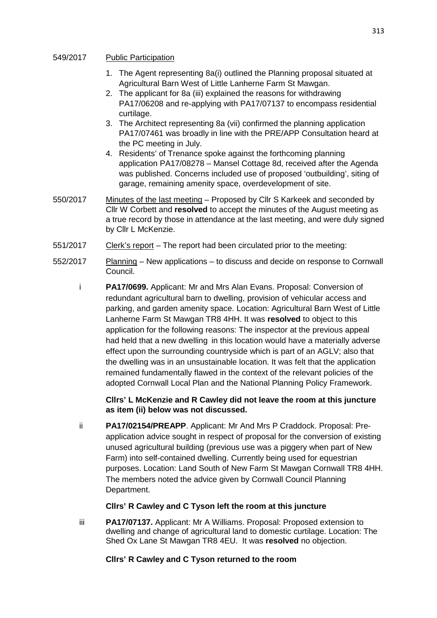## 549/2017 Public Participation

- 1. The Agent representing 8a(i) outlined the Planning proposal situated at Agricultural Barn West of Little Lanherne Farm St Mawgan.
- 2. The applicant for 8a (iii) explained the reasons for withdrawing PA17/06208 and re-applying with PA17/07137 to encompass residential curtilage.
- 3. The Architect representing 8a (vii) confirmed the planning application PA17/07461 was broadly in line with the PRE/APP Consultation heard at the PC meeting in July.
- 4. Residents' of Trenance spoke against the forthcoming planning application PA17/08278 – Mansel Cottage 8d, received after the Agenda was published. Concerns included use of proposed 'outbuilding', siting of garage, remaining amenity space, overdevelopment of site.
- 550/2017 Minutes of the last meeting Proposed by Cllr S Karkeek and seconded by Cllr W Corbett and **resolved** to accept the minutes of the August meeting as a true record by those in attendance at the last meeting, and were duly signed by Cllr L McKenzie.
- 551/2017 Clerk's report The report had been circulated prior to the meeting:
- 552/2017 Planning New applications to discuss and decide on response to Cornwall Council.
	- i **PA17/0699.** Applicant: Mr and Mrs Alan Evans. Proposal: Conversion of redundant agricultural barn to dwelling, provision of vehicular access and parking, and garden amenity space. Location: Agricultural Barn West of Little Lanherne Farm St Mawgan TR8 4HH. It was **resolved** to object to this application for the following reasons: The inspector at the previous appeal had held that a new dwelling in this location would have a materially adverse effect upon the surrounding countryside which is part of an AGLV; also that the dwelling was in an unsustainable location. It was felt that the application remained fundamentally flawed in the context of the relevant policies of the adopted Cornwall Local Plan and the National Planning Policy Framework.

## **Cllrs' L McKenzie and R Cawley did not leave the room at this juncture as item (ii) below was not discussed.**

ii **PA17/02154/PREAPP**. Applicant: Mr And Mrs P Craddock. Proposal: Preapplication advice sought in respect of proposal for the conversion of existing unused agricultural building (previous use was a piggery when part of New Farm) into self-contained dwelling. Currently being used for equestrian purposes. Location: Land South of New Farm St Mawgan Cornwall TR8 4HH. The members noted the advice given by Cornwall Council Planning Department.

## **Cllrs' R Cawley and C Tyson left the room at this juncture**

 iii **PA17/07137.** Applicant: Mr A Williams. Proposal: Proposed extension to dwelling and change of agricultural land to domestic curtilage. Location: The Shed Ox Lane St Mawgan TR8 4EU. It was **resolved** no objection.

## **Cllrs' R Cawley and C Tyson returned to the room**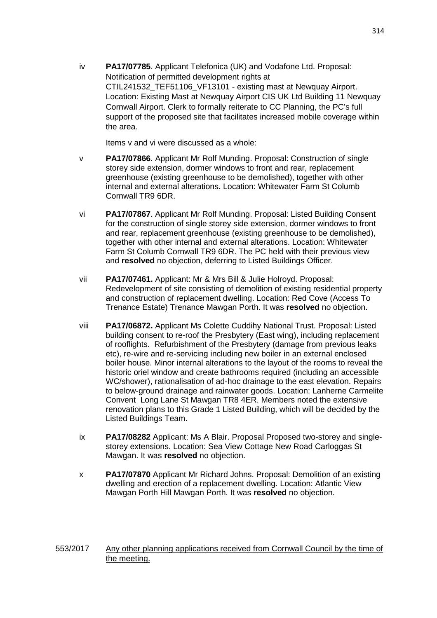iv **PA17/07785**. Applicant Telefonica (UK) and Vodafone Ltd. Proposal: Notification of permitted development rights at CTIL241532\_TEF51106\_VF13101 - existing mast at Newquay Airport. Location: Existing Mast at Newquay Airport CIS UK Ltd Building 11 Newquay Cornwall Airport. Clerk to formally reiterate to CC Planning, the PC's full support of the proposed site that facilitates increased mobile coverage within the area.

Items v and vi were discussed as a whole:

- v **PA17/07866**. Applicant Mr Rolf Munding. Proposal: Construction of single storey side extension, dormer windows to front and rear, replacement greenhouse (existing greenhouse to be demolished), together with other internal and external alterations. Location: Whitewater Farm St Columb Cornwall TR9 6DR.
- vi **PA17/07867**. Applicant Mr Rolf Munding. Proposal: Listed Building Consent for the construction of single storey side extension, dormer windows to front and rear, replacement greenhouse (existing greenhouse to be demolished), together with other internal and external alterations. Location: Whitewater Farm St Columb Cornwall TR9 6DR. The PC held with their previous view and **resolved** no objection, deferring to Listed Buildings Officer.
- vii **PA17/07461.** Applicant: Mr & Mrs Bill & Julie Holroyd. Proposal: Redevelopment of site consisting of demolition of existing residential property and construction of replacement dwelling. Location: Red Cove (Access To Trenance Estate) Trenance Mawgan Porth. It was **resolved** no objection.
- viii **PA17/06872.** Applicant Ms Colette Cuddihy National Trust. Proposal: Listed building consent to re-roof the Presbytery (East wing), including replacement of rooflights. Refurbishment of the Presbytery (damage from previous leaks etc), re-wire and re-servicing including new boiler in an external enclosed boiler house. Minor internal alterations to the layout of the rooms to reveal the historic oriel window and create bathrooms required (including an accessible WC/shower), rationalisation of ad-hoc drainage to the east elevation. Repairs to below-ground drainage and rainwater goods. Location: Lanherne Carmelite Convent Long Lane St Mawgan TR8 4ER. Members noted the extensive renovation plans to this Grade 1 Listed Building, which will be decided by the Listed Buildings Team.
- ix **PA17/08282** Applicant: Ms A Blair. Proposal Proposed two-storey and single storey extensions. Location: Sea View Cottage New Road Carloggas St Mawgan. It was **resolved** no objection.
- x **PA17/07870** Applicant Mr Richard Johns. Proposal: Demolition of an existing dwelling and erection of a replacement dwelling. Location: Atlantic View Mawgan Porth Hill Mawgan Porth. It was **resolved** no objection.

## 553/2017 Any other planning applications received from Cornwall Council by the time of the meeting.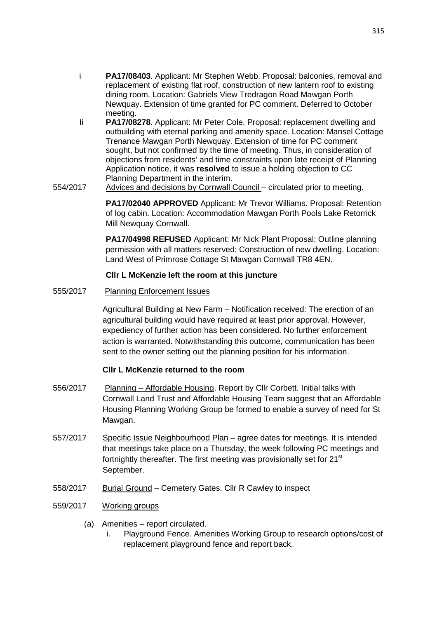- i **PA17/08403**. Applicant: Mr Stephen Webb. Proposal: balconies, removal and replacement of existing flat roof, construction of new lantern roof to existing dining room. Location: Gabriels View Tredragon Road Mawgan Porth Newquay. Extension of time granted for PC comment. Deferred to October meeting.
- Ii **PA17/08278**. Applicant: Mr Peter Cole. Proposal: replacement dwelling and outbuilding with eternal parking and amenity space. Location: Mansel Cottage Trenance Mawgan Porth Newquay. Extension of time for PC comment sought, but not confirmed by the time of meeting. Thus, in consideration of objections from residents' and time constraints upon late receipt of Planning Application notice, it was **resolved** to issue a holding objection to CC Planning Department in the interim.
- 554/2017 Advices and decisions by Cornwall Council circulated prior to meeting.

**PA17/02040 APPROVED** Applicant: Mr Trevor Williams. Proposal: Retention of log cabin. Location: Accommodation Mawgan Porth Pools Lake Retorrick Mill Newquay Cornwall.

**PA17/04998 REFUSED** Applicant: Mr Nick Plant Proposal: Outline planning permission with all matters reserved: Construction of new dwelling. Location: Land West of Primrose Cottage St Mawgan Cornwall TR8 4EN.

## **Cllr L McKenzie left the room at this juncture**

555/2017 Planning Enforcement Issues

 Agricultural Building at New Farm – Notification received: The erection of an agricultural building would have required at least prior approval. However, expediency of further action has been considered. No further enforcement action is warranted. Notwithstanding this outcome, communication has been sent to the owner setting out the planning position for his information.

#### **Cllr L McKenzie returned to the room**

- 556/2017 Planning Affordable Housing. Report by Cllr Corbett. Initial talks with Cornwall Land Trust and Affordable Housing Team suggest that an Affordable Housing Planning Working Group be formed to enable a survey of need for St Mawgan.
- 557/2017 Specific Issue Neighbourhood Plan agree dates for meetings. It is intended that meetings take place on a Thursday, the week following PC meetings and fortnightly thereafter. The first meeting was provisionally set for 21<sup>st</sup> September.
- 558/2017 Burial Ground Cemetery Gates. Cllr R Cawley to inspect
- 559/2017 Working groups
	- (a) Amenities report circulated.
		- Playground Fence. Amenities Working Group to research options/cost of replacement playground fence and report back.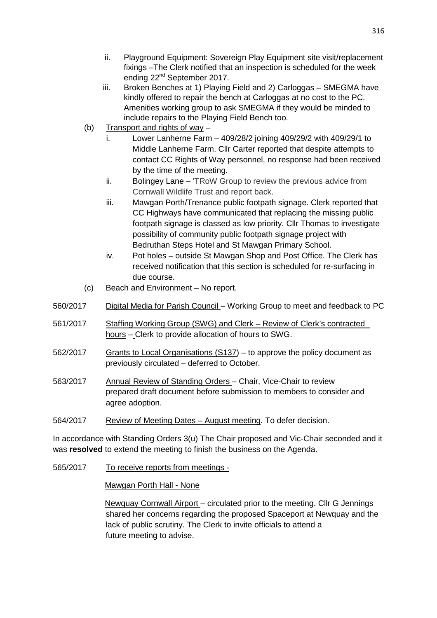- ii. Playground Equipment: Sovereign Play Equipment site visit/replacement fixings –The Clerk notified that an inspection is scheduled for the week ending 22nd September 2017.
- iii. Broken Benches at 1) Playing Field and 2) Carloggas SMEGMA have kindly offered to repair the bench at Carloggas at no cost to the PC. Amenities working group to ask SMEGMA if they would be minded to include repairs to the Playing Field Bench too.
- (b) Transport and rights of way
	- i. Lower Lanherne Farm 409/28/2 joining 409/29/2 with 409/29/1 to Middle Lanherne Farm. Cllr Carter reported that despite attempts to contact CC Rights of Way personnel, no response had been received by the time of the meeting.
	- ii. Bolingey Lane 'TRoW Group to review the previous advice from Cornwall Wildlife Trust and report back.
	- iii. Mawgan Porth/Trenance public footpath signage. Clerk reported that CC Highways have communicated that replacing the missing public footpath signage is classed as low priority. Cllr Thomas to investigate possibility of community public footpath signage project with Bedruthan Steps Hotel and St Mawgan Primary School.
	- iv. Pot holes outside St Mawgan Shop and Post Office. The Clerk has received notification that this section is scheduled for re-surfacing in due course.
- (c) Beach and Environment No report.
- 560/2017 Digital Media for Parish Council Working Group to meet and feedback to PC
- 561/2017 Staffing Working Group (SWG) and Clerk Review of Clerk's contracted hours – Clerk to provide allocation of hours to SWG.
- 562/2017 Grants to Local Organisations (S137) to approve the policy document as previously circulated – deferred to October.
- 563/2017 Annual Review of Standing Orders Chair, Vice-Chair to review prepared draft document before submission to members to consider and agree adoption.
- 564/2017 Review of Meeting Dates August meeting. To defer decision.

In accordance with Standing Orders 3(u) The Chair proposed and Vic-Chair seconded and it was **resolved** to extend the meeting to finish the business on the Agenda.

565/2017 To receive reports from meetings -

Mawgan Porth Hall - None

 Newquay Cornwall Airport – circulated prior to the meeting. Cllr G Jennings shared her concerns regarding the proposed Spaceport at Newquay and the lack of public scrutiny. The Clerk to invite officials to attend a future meeting to advise.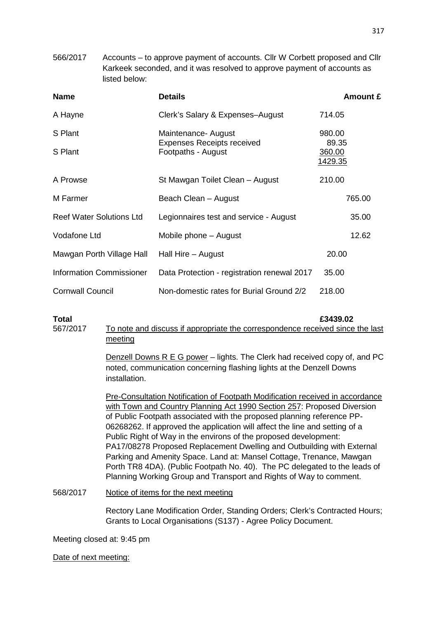566/2017 Accounts – to approve payment of accounts. Cllr W Corbett proposed and Cllr Karkeek seconded, and it was resolved to approve payment of accounts as listed below:

| <b>Name</b>                     | <b>Details</b>                                                                 | <b>Amount £</b>                   |
|---------------------------------|--------------------------------------------------------------------------------|-----------------------------------|
| A Hayne                         | Clerk's Salary & Expenses-August                                               | 714.05                            |
| S Plant                         | Maintenance- August<br><b>Expenses Receipts received</b><br>Footpaths - August | 980.00                            |
| S Plant                         |                                                                                | 89.35<br>360.00<br><u>1429.35</u> |
| A Prowse                        | St Mawgan Toilet Clean – August                                                | 210.00                            |
| M Farmer                        | Beach Clean - August                                                           | 765.00                            |
| <b>Reef Water Solutions Ltd</b> | Legionnaires test and service - August                                         | 35.00                             |
| Vodafone Ltd                    | Mobile phone – August                                                          | 12.62                             |
| Mawgan Porth Village Hall       | Hall Hire – August                                                             | 20.00                             |
| <b>Information Commissioner</b> | Data Protection - registration renewal 2017                                    | 35.00                             |
| <b>Cornwall Council</b>         | Non-domestic rates for Burial Ground 2/2                                       | 218.00                            |

**Total £3439.02**  567/2017 To note and discuss if appropriate the correspondence received since the last meeting

> Denzell Downs R E G power – lights. The Clerk had received copy of, and PC noted, communication concerning flashing lights at the Denzell Downs installation.

> Pre-Consultation Notification of Footpath Modification received in accordance with Town and Country Planning Act 1990 Section 257: Proposed Diversion of Public Footpath associated with the proposed planning reference PP-06268262. If approved the application will affect the line and setting of a Public Right of Way in the environs of the proposed development: PA17/08278 Proposed Replacement Dwelling and Outbuilding with External Parking and Amenity Space. Land at: Mansel Cottage, Trenance, Mawgan Porth TR8 4DA). (Public Footpath No. 40). The PC delegated to the leads of Planning Working Group and Transport and Rights of Way to comment.

568/2017 Notice of items for the next meeting

 Rectory Lane Modification Order, Standing Orders; Clerk's Contracted Hours; Grants to Local Organisations (S137) - Agree Policy Document.

Meeting closed at: 9:45 pm

Date of next meeting: